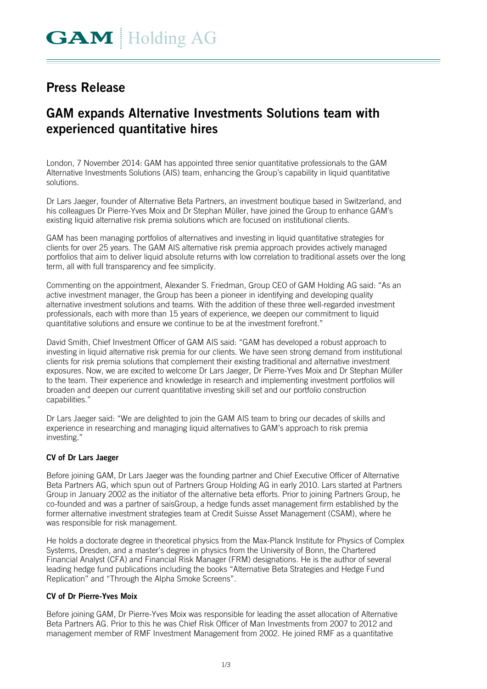## **Press Release**

# **GAM expands Alternative Investments Solutions team with experienced quantitative hires**

London, 7 November 2014: GAM has appointed three senior quantitative professionals to the GAM Alternative Investments Solutions (AIS) team, enhancing the Group's capability in liquid quantitative solutions.

Dr Lars Jaeger, founder of Alternative Beta Partners, an investment boutique based in Switzerland, and his colleagues Dr Pierre-Yves Moix and Dr Stephan Müller, have joined the Group to enhance GAM's existing liquid alternative risk premia solutions which are focused on institutional clients.

GAM has been managing portfolios of alternatives and investing in liquid quantitative strategies for clients for over 25 years. The GAM AIS alternative risk premia approach provides actively managed portfolios that aim to deliver liquid absolute returns with low correlation to traditional assets over the long term, all with full transparency and fee simplicity.

Commenting on the appointment, Alexander S. Friedman, Group CEO of GAM Holding AG said: "As an active investment manager, the Group has been a pioneer in identifying and developing quality alternative investment solutions and teams. With the addition of these three well-regarded investment professionals, each with more than 15 years of experience, we deepen our commitment to liquid quantitative solutions and ensure we continue to be at the investment forefront."

David Smith, Chief Investment Officer of GAM AIS said: "GAM has developed a robust approach to investing in liquid alternative risk premia for our clients. We have seen strong demand from institutional clients for risk premia solutions that complement their existing traditional and alternative investment exposures. Now, we are excited to welcome Dr Lars Jaeger, Dr Pierre-Yves Moix and Dr Stephan Müller to the team. Their experience and knowledge in research and implementing investment portfolios will broaden and deepen our current quantitative investing skill set and our portfolio construction capabilities."

Dr Lars Jaeger said: "We are delighted to join the GAM AIS team to bring our decades of skills and experience in researching and managing liquid alternatives to GAM's approach to risk premia investing."

## **CV of Dr Lars Jaeger**

Before joining GAM, Dr Lars Jaeger was the founding partner and Chief Executive Officer of Alternative Beta Partners AG, which spun out of Partners Group Holding AG in early 2010. Lars started at Partners Group in January 2002 as the initiator of the alternative beta efforts. Prior to joining Partners Group, he co-founded and was a partner of saisGroup, a hedge funds asset management firm established by the former alternative investment strategies team at Credit Suisse Asset Management (CSAM), where he was responsible for risk management.

He holds a doctorate degree in theoretical physics from the Max-Planck Institute for Physics of Complex Systems, Dresden, and a master's degree in physics from the University of Bonn, the Chartered Financial Analyst (CFA) and Financial Risk Manager (FRM) designations. He is the author of several leading hedge fund publications including the books "Alternative Beta Strategies and Hedge Fund Replication" and "Through the Alpha Smoke Screens".

## **CV of Dr Pierre-Yves Moix**

Before joining GAM, Dr Pierre-Yves Moix was responsible for leading the asset allocation of Alternative Beta Partners AG. Prior to this he was Chief Risk Officer of Man Investments from 2007 to 2012 and management member of RMF Investment Management from 2002. He joined RMF as a quantitative